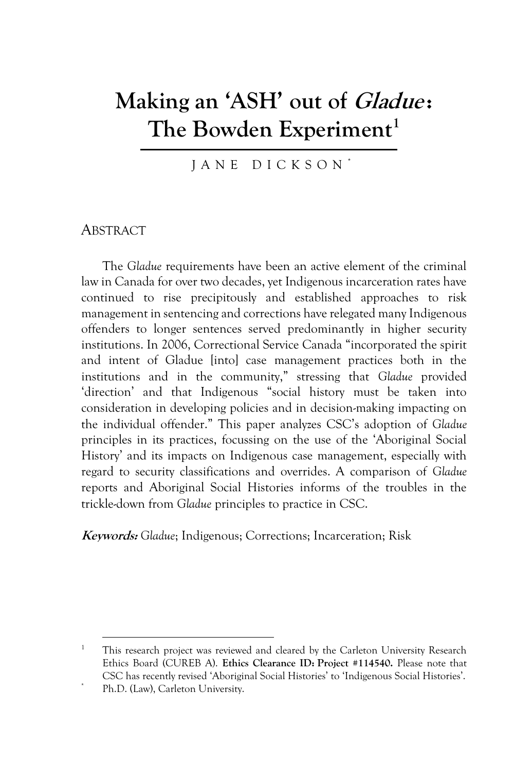# **Making an 'ASH' out of Gladue : The Bowden Experiment<sup>1</sup>**

J A N E D I C K S O N \*

# **ABSTRACT**

The *Gladue* requirements have been an active element of the criminal law in Canada for over two decades, yet Indigenous incarceration rates have continued to rise precipitously and established approaches to risk management in sentencing and corrections have relegated many Indigenous offenders to longer sentences served predominantly in higher security institutions. In 2006, Correctional Service Canada "incorporated the spirit and intent of Gladue [into] case management practices both in the institutions and in the community," stressing that *Gladue* provided 'direction' and that Indigenous "social history must be taken into consideration in developing policies and in decision-making impacting on the individual offender." This paper analyzes CSC's adoption of *Gladue* principles in its practices, focussing on the use of the 'Aboriginal Social History' and its impacts on Indigenous case management, especially with regard to security classifications and overrides. A comparison of *Gladue* reports and Aboriginal Social Histories informs of the troubles in the trickle-down from *Gladue* principles to practice in CSC.

**Keywords:** *Gladue*; Indigenous; Corrections; Incarceration; Risk

<sup>&</sup>lt;sup>1</sup> This research project was reviewed and cleared by the Carleton University Research Ethics Board (CUREB A). **Ethics Clearance ID: Project #114540.** Please note that CSC has recently revised 'Aboriginal Social Histories' to 'Indigenous Social Histories'.

Ph.D. (Law), Carleton University.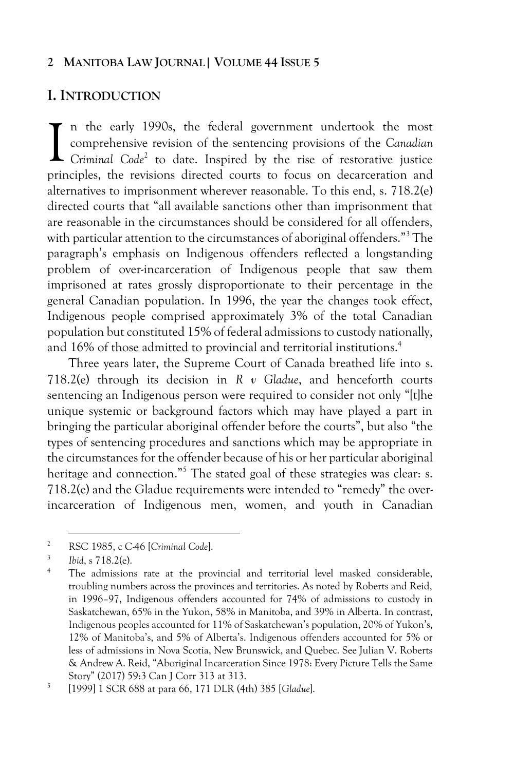# **I. INTRODUCTION**

n the early 1990s, the federal government undertook the most comprehensive revision of the sentencing provisions of the *Canadian*  In the early 1990s, the federal government undertook the most comprehensive revision of the sentencing provisions of the *Canadian* Criminal Code<sup>2</sup> to date. Inspired by the rise of restorative justice principles, the revisions directed courts to focus on decarceration and alternatives to imprisonment wherever reasonable. To this end, s. 718.2(e) directed courts that "all available sanctions other than imprisonment that are reasonable in the circumstances should be considered for all offenders, with particular attention to the circumstances of aboriginal offenders."<sup>3</sup> The paragraph's emphasis on Indigenous offenders reflected a longstanding problem of over-incarceration of Indigenous people that saw them imprisoned at rates grossly disproportionate to their percentage in the general Canadian population. In 1996, the year the changes took effect, Indigenous people comprised approximately 3% of the total Canadian population but constituted 15% of federal admissions to custody nationally, and 16% of those admitted to provincial and territorial institutions.<sup>4</sup>

Three years later, the Supreme Court of Canada breathed life into s. 718.2(e) through its decision in *R v Gladue*, and henceforth courts sentencing an Indigenous person were required to consider not only "[t]he unique systemic or background factors which may have played a part in bringing the particular aboriginal offender before the courts", but also "the types of sentencing procedures and sanctions which may be appropriate in the circumstances for the offender because of his or her particular aboriginal heritage and connection."<sup>5</sup> The stated goal of these strategies was clear: s. 718.2(e) and the Gladue requirements were intended to "remedy" the overincarceration of Indigenous men, women, and youth in Canadian

<sup>2</sup> RSC 1985, c C-46 [*Criminal Code*].

<sup>3</sup> *Ibid*, s 718.2(e).

<sup>&</sup>lt;sup>4</sup> The admissions rate at the provincial and territorial level masked considerable, troubling numbers across the provinces and territories. As noted by Roberts and Reid, in 1996–97, Indigenous offenders accounted for 74% of admissions to custody in Saskatchewan, 65% in the Yukon, 58% in Manitoba, and 39% in Alberta. In contrast, Indigenous peoples accounted for 11% of Saskatchewan's population, 20% of Yukon's, 12% of Manitoba's, and 5% of Alberta's. Indigenous offenders accounted for 5% or less of admissions in Nova Scotia, New Brunswick, and Quebec. See Julian V. Roberts & Andrew A. Reid, "Aboriginal Incarceration Since 1978: Every Picture Tells the Same Story" (2017) 59:3 Can J Corr 313 at 313.

<sup>5</sup> [1999] 1 SCR 688 at para 66, 171 DLR (4th) 385 [*Gladue*].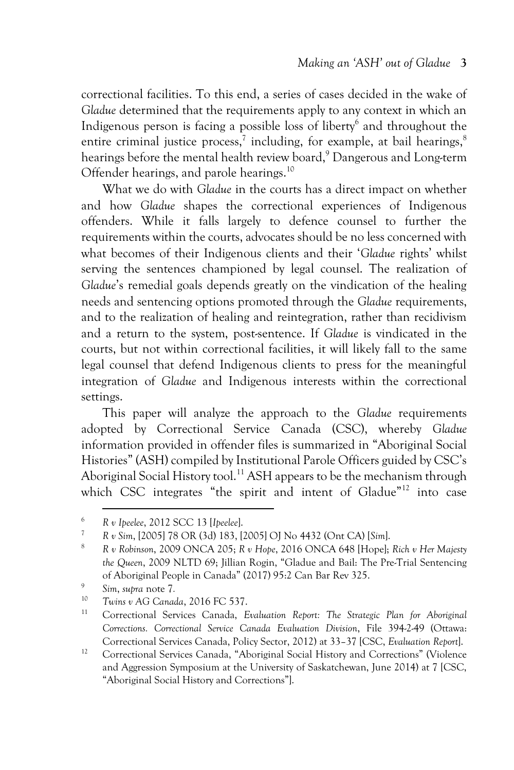correctional facilities. To this end, a series of cases decided in the wake of *Gladue* determined that the requirements apply to any context in which an Indigenous person is facing a possible loss of liberty<sup>6</sup> and throughout the entire criminal justice process,<sup>7</sup> including, for example, at bail hearings,<sup>8</sup> hearings before the mental health review board,<sup>9</sup> Dangerous and Long-term Offender hearings, and parole hearings.<sup>10</sup>

What we do with *Gladue* in the courts has a direct impact on whether and how *Gladue* shapes the correctional experiences of Indigenous offenders. While it falls largely to defence counsel to further the requirements within the courts, advocates should be no less concerned with what becomes of their Indigenous clients and their '*Gladue* rights' whilst serving the sentences championed by legal counsel. The realization of *Gladue*'s remedial goals depends greatly on the vindication of the healing needs and sentencing options promoted through the *Gladue* requirements, and to the realization of healing and reintegration, rather than recidivism and a return to the system, post-sentence. If *Gladue* is vindicated in the courts, but not within correctional facilities, it will likely fall to the same legal counsel that defend Indigenous clients to press for the meaningful integration of *Gladue* and Indigenous interests within the correctional settings.

This paper will analyze the approach to the *Gladue* requirements adopted by Correctional Service Canada (CSC), whereby *Gladue* information provided in offender files is summarized in "Aboriginal Social Histories" (ASH) compiled by Institutional Parole Officers guided by CSC's Aboriginal Social History tool.<sup>11</sup> ASH appears to be the mechanism through which CSC integrates "the spirit and intent of Gladue"<sup>12</sup> into case

<sup>6</sup> *R v Ipeelee*, 2012 SCC 13 [*Ipeelee*].

<sup>7</sup> *R v Sim*, [2005] 78 OR (3d) 183, [2005] OJ No 4432 (Ont CA) [*Sim*].

<sup>8</sup> *R v Robinson*, 2009 ONCA 205; *R v Hope*, 2016 ONCA 648 [Hope]; *Rich v Her Majesty the Queen*, 2009 NLTD 69; Jillian Rogin, "Gladue and Bail: The Pre-Trial Sentencing of Aboriginal People in Canada" (2017) 95:2 Can Bar Rev 325.

<sup>9</sup> *Sim*, *supra* note 7*.*

<sup>10</sup> *Twins v AG Canada*, 2016 FC 537.

<sup>11</sup> Correctional Services Canada, *Evaluation Report: The Strategic Plan for Aboriginal Corrections. Correctional Service Canada Evaluation Division*, File 394-2-49 (Ottawa: Correctional Services Canada, Policy Sector, 2012) at 33–37 [CSC, *Evaluation Report*].

<sup>&</sup>lt;sup>12</sup> Correctional Services Canada, "Aboriginal Social History and Corrections" (Violence and Aggression Symposium at the University of Saskatchewan, June 2014) at 7 [CSC, "Aboriginal Social History and Corrections"].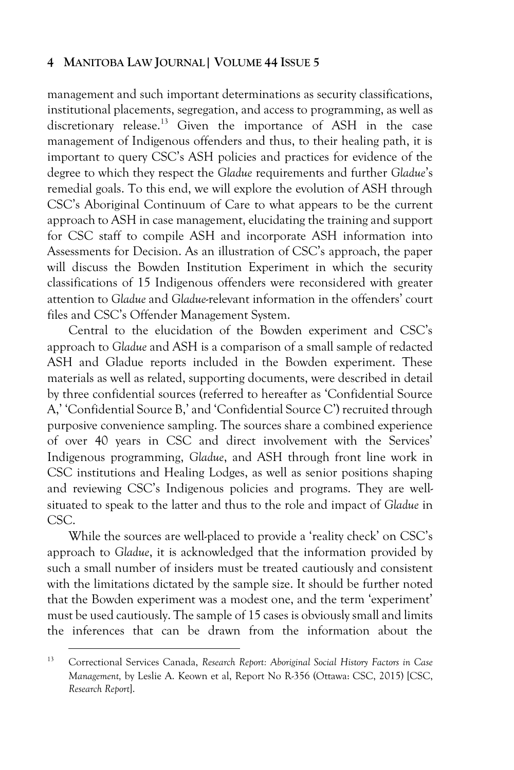management and such important determinations as security classifications, institutional placements, segregation, and access to programming, as well as discretionary release.<sup>13</sup> Given the importance of ASH in the case management of Indigenous offenders and thus, to their healing path, it is important to query CSC's ASH policies and practices for evidence of the degree to which they respect the *Gladue* requirements and further *Gladue*'s remedial goals. To this end, we will explore the evolution of ASH through CSC's Aboriginal Continuum of Care to what appears to be the current approach to ASH in case management, elucidating the training and support for CSC staff to compile ASH and incorporate ASH information into Assessments for Decision. As an illustration of CSC's approach, the paper will discuss the Bowden Institution Experiment in which the security classifications of 15 Indigenous offenders were reconsidered with greater attention to *Gladue* and *Gladue*-relevant information in the offenders' court files and CSC's Offender Management System.

Central to the elucidation of the Bowden experiment and CSC's approach to *Gladue* and ASH is a comparison of a small sample of redacted ASH and Gladue reports included in the Bowden experiment. These materials as well as related, supporting documents, were described in detail by three confidential sources (referred to hereafter as 'Confidential Source A,' 'Confidential Source B,' and 'Confidential Source C') recruited through purposive convenience sampling. The sources share a combined experience of over 40 years in CSC and direct involvement with the Services' Indigenous programming, *Gladue*, and ASH through front line work in CSC institutions and Healing Lodges, as well as senior positions shaping and reviewing CSC's Indigenous policies and programs. They are wellsituated to speak to the latter and thus to the role and impact of *Gladue* in CSC.

While the sources are well-placed to provide a 'reality check' on CSC's approach to *Gladue*, it is acknowledged that the information provided by such a small number of insiders must be treated cautiously and consistent with the limitations dictated by the sample size. It should be further noted that the Bowden experiment was a modest one, and the term 'experiment' must be used cautiously. The sample of 15 cases is obviously small and limits the inferences that can be drawn from the information about the

<sup>13</sup> Correctional Services Canada, *Research Report: Aboriginal Social History Factors in Case Management,* by Leslie A. Keown et al, Report No R-356 (Ottawa: CSC, 2015) [CSC, *Research Report*].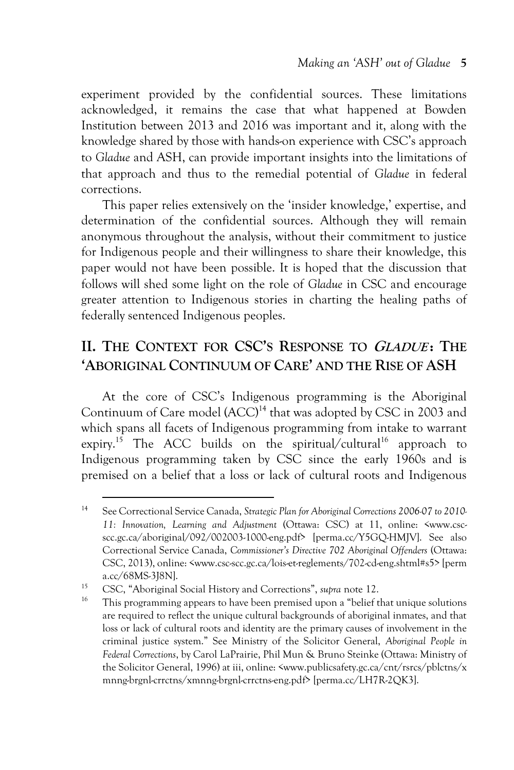experiment provided by the confidential sources. These limitations acknowledged, it remains the case that what happened at Bowden Institution between 2013 and 2016 was important and it, along with the knowledge shared by those with hands-on experience with CSC's approach to *Gladue* and ASH, can provide important insights into the limitations of that approach and thus to the remedial potential of *Gladue* in federal corrections.

This paper relies extensively on the 'insider knowledge,' expertise, and determination of the confidential sources. Although they will remain anonymous throughout the analysis, without their commitment to justice for Indigenous people and their willingness to share their knowledge, this paper would not have been possible. It is hoped that the discussion that follows will shed some light on the role of *Gladue* in CSC and encourage greater attention to Indigenous stories in charting the healing paths of federally sentenced Indigenous peoples.

# **II. THE CONTEXT FOR CSC'S RESPONSE TO GLADUE : THE 'ABORIGINAL CONTINUUM OF CARE' AND THE RISE OF ASH**

At the core of CSC's Indigenous programming is the Aboriginal Continuum of Care model (ACC)<sup>14</sup> that was adopted by CSC in 2003 and which spans all facets of Indigenous programming from intake to warrant expiry.<sup>15</sup> The ACC builds on the spiritual/cultural<sup>16</sup> approach to Indigenous programming taken by CSC since the early 1960s and is premised on a belief that a loss or lack of cultural roots and Indigenous

<sup>14</sup> See Correctional Service Canada, *Strategic Plan for Aboriginal Corrections 2006-07 to 2010- 11: Innovation, Learning and Adjustment* (Ottawa: CSC) at 11, online: <www.cscscc.gc.ca/aboriginal/092/002003-1000-eng.pdf> [perma.cc/Y5GQ-HMJV]. See also Correctional Service Canada, *Commissioner's Directive 702 Aboriginal Offenders* (Ottawa: CSC, 2013), online: <www.csc-scc.gc.ca/lois-et-reglements/702-cd-eng.shtml#s5> [perm a.cc/68MS-3J8N].

<sup>15</sup> CSC, "Aboriginal Social History and Corrections", *supra* note 12.

<sup>&</sup>lt;sup>16</sup> This programming appears to have been premised upon a "belief that unique solutions" are required to reflect the unique cultural backgrounds of aboriginal inmates, and that loss or lack of cultural roots and identity are the primary causes of involvement in the criminal justice system." See Ministry of the Solicitor General, *Aboriginal People in Federal Corrections*, by Carol LaPrairie, Phil Mun & Bruno Steinke (Ottawa: Ministry of the Solicitor General, 1996) at iii, online: <www.publicsafety.gc.ca/cnt/rsrcs/pblctns/x mnng-brgnl-crrctns/xmnng-brgnl-crrctns-eng.pdf> [perma.cc/LH7R-2QK3].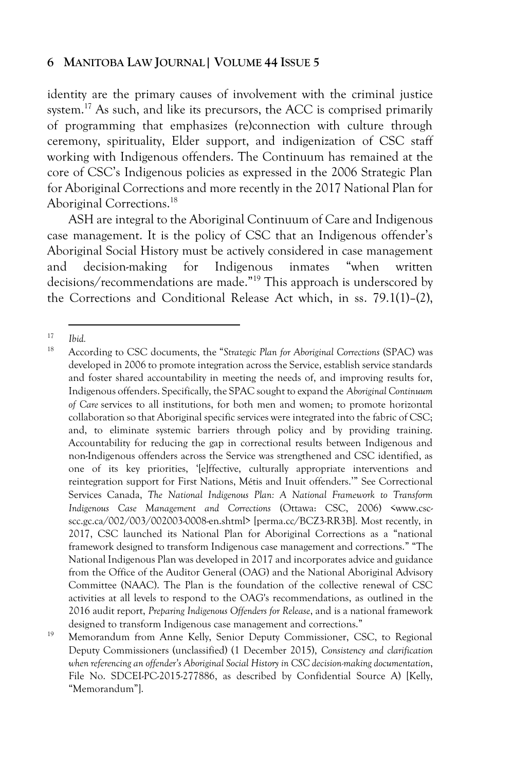identity are the primary causes of involvement with the criminal justice system.<sup>17</sup> As such, and like its precursors, the ACC is comprised primarily of programming that emphasizes (re)connection with culture through ceremony, spirituality, Elder support, and indigenization of CSC staff working with Indigenous offenders. The Continuum has remained at the core of CSC's Indigenous policies as expressed in the 2006 Strategic Plan for Aboriginal Corrections and more recently in the 2017 National Plan for Aboriginal Corrections.<sup>18</sup>

ASH are integral to the Aboriginal Continuum of Care and Indigenous case management. It is the policy of CSC that an Indigenous offender's Aboriginal Social History must be actively considered in case management and decision-making for Indigenous inmates "when written decisions/recommendations are made."<sup>19</sup> This approach is underscored by the Corrections and Conditional Release Act which, in ss. 79.1(1)–(2),

<sup>17</sup> *Ibid.*

<sup>18</sup> According to CSC documents, the "*Strategic Plan for Aboriginal Corrections* (SPAC) was developed in 2006 to promote integration across the Service, establish service standards and foster shared accountability in meeting the needs of, and improving results for, Indigenous offenders. Specifically, the SPAC sought to expand the *Aboriginal Continuum of Care* services to all institutions, for both men and women; to promote horizontal collaboration so that Aboriginal specific services were integrated into the fabric of CSC; and, to eliminate systemic barriers through policy and by providing training. Accountability for reducing the gap in correctional results between Indigenous and non-Indigenous offenders across the Service was strengthened and CSC identified, as one of its key priorities, '[e]ffective, culturally appropriate interventions and reintegration support for First Nations, Métis and Inuit offenders.'" See Correctional Services Canada, *The National Indigenous Plan: A National Framework to Transform Indigenous Case Management and Corrections* (Ottawa: CSC, 2006) <www.cscscc.gc.ca/002/003/002003-0008-en.shtml> [perma.cc/BCZ3-RR3B]. Most recently, in 2017, CSC launched its National Plan for Aboriginal Corrections as a "national framework designed to transform Indigenous case management and corrections." "The National Indigenous Plan was developed in 2017 and incorporates advice and guidance from the Office of the Auditor General (OAG) and the National Aboriginal Advisory Committee (NAAC). The Plan is the foundation of the collective renewal of CSC activities at all levels to respond to the OAG's recommendations, as outlined in the 2016 audit report, *Preparing Indigenous Offenders for Release*, and is a national framework designed to transform Indigenous case management and corrections."

<sup>&</sup>lt;sup>19</sup> Memorandum from Anne Kelly, Senior Deputy Commissioner, CSC, to Regional Deputy Commissioners (unclassified) (1 December 2015), *Consistency and clarification when referencing an offender's Aboriginal Social History in CSC decision-making documentation*, File No. SDCEI-PC-2015-277886, as described by Confidential Source A) [Kelly, "Memorandum"].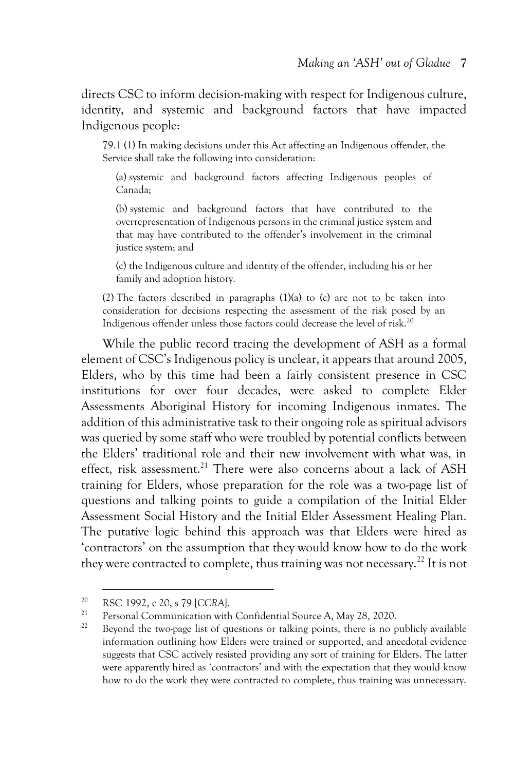directs CSC to inform decision-making with respect for Indigenous culture, identity, and systemic and background factors that have impacted Indigenous people:

79.1 (1) In making decisions under this Act affecting an Indigenous offender, the Service shall take the following into consideration:

(a) systemic and background factors affecting Indigenous peoples of Canada;

(b) systemic and background factors that have contributed to the overrepresentation of Indigenous persons in the criminal justice system and that may have contributed to the offender's involvement in the criminal justice system; and

(c) the Indigenous culture and identity of the offender, including his or her family and adoption history.

(2) The factors described in paragraphs (1)(a) to (c) are not to be taken into consideration for decisions respecting the assessment of the risk posed by an Indigenous offender unless those factors could decrease the level of risk.<sup>20</sup>

While the public record tracing the development of ASH as a formal element of CSC's Indigenous policy is unclear, it appears that around 2005, Elders, who by this time had been a fairly consistent presence in CSC institutions for over four decades, were asked to complete Elder Assessments Aboriginal History for incoming Indigenous inmates. The addition of this administrative task to their ongoing role as spiritual advisors was queried by some staff who were troubled by potential conflicts between the Elders' traditional role and their new involvement with what was, in effect, risk assessment.<sup>21</sup> There were also concerns about a lack of ASH training for Elders, whose preparation for the role was a two-page list of questions and talking points to guide a compilation of the Initial Elder Assessment Social History and the Initial Elder Assessment Healing Plan. The putative logic behind this approach was that Elders were hired as 'contractors' on the assumption that they would know how to do the work they were contracted to complete, thus training was not necessary.<sup>22</sup> It is not

<sup>20</sup> RSC 1992, c 20, s 79 [*CCRA*].

<sup>&</sup>lt;sup>21</sup> Personal Communication with Confidential Source A, May 28, 2020.<br><sup>22</sup> Personal the true uses list of suspicions on telling points, there is no g

<sup>22</sup> Beyond the two-page list of questions or talking points, there is no publicly available information outlining how Elders were trained or supported, and anecdotal evidence suggests that CSC actively resisted providing any sort of training for Elders. The latter were apparently hired as 'contractors' and with the expectation that they would know how to do the work they were contracted to complete, thus training was unnecessary.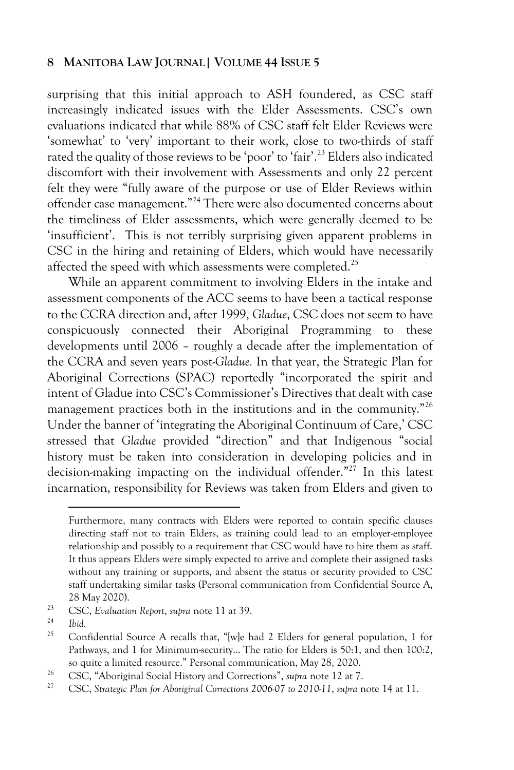surprising that this initial approach to ASH foundered, as CSC staff increasingly indicated issues with the Elder Assessments. CSC's own evaluations indicated that while 88% of CSC staff felt Elder Reviews were 'somewhat' to 'very' important to their work, close to two-thirds of staff rated the quality of those reviews to be 'poor' to 'fair'.<sup>23</sup> Elders also indicated discomfort with their involvement with Assessments and only 22 percent felt they were "fully aware of the purpose or use of Elder Reviews within offender case management."<sup>24</sup> There were also documented concerns about the timeliness of Elder assessments, which were generally deemed to be 'insufficient'. This is not terribly surprising given apparent problems in CSC in the hiring and retaining of Elders, which would have necessarily affected the speed with which assessments were completed.<sup>25</sup>

While an apparent commitment to involving Elders in the intake and assessment components of the ACC seems to have been a tactical response to the CCRA direction and, after 1999, *Gladue*, CSC does not seem to have conspicuously connected their Aboriginal Programming to these developments until 2006 – roughly a decade after the implementation of the CCRA and seven years post-*Gladue.* In that year, the Strategic Plan for Aboriginal Corrections (SPAC) reportedly "incorporated the spirit and intent of Gladue into CSC's Commissioner's Directives that dealt with case management practices both in the institutions and in the community."<sup>26</sup> Under the banner of 'integrating the Aboriginal Continuum of Care,' CSC stressed that *Gladue* provided "direction" and that Indigenous "social history must be taken into consideration in developing policies and in decision-making impacting on the individual offender."<sup>27</sup> In this latest incarnation, responsibility for Reviews was taken from Elders and given to

Furthermore, many contracts with Elders were reported to contain specific clauses directing staff not to train Elders, as training could lead to an employer-employee relationship and possibly to a requirement that CSC would have to hire them as staff. It thus appears Elders were simply expected to arrive and complete their assigned tasks without any training or supports, and absent the status or security provided to CSC staff undertaking similar tasks (Personal communication from Confidential Source A, 28 May 2020).

<sup>23</sup> CSC, *Evaluation Report*, *supra* note 11 at 39.

 $\frac{24}{25}$  *Ibid.* 

Confidential Source A recalls that, "[w]e had 2 Elders for general population, 1 for Pathways, and 1 for Minimum-security... The ratio for Elders is 50:1, and then 100:2, so quite a limited resource." Personal communication, May 28, 2020.

<sup>26</sup> CSC, "Aboriginal Social History and Corrections", *supra* note 12 at 7.

<sup>27</sup> CSC, *Strategic Plan for Aboriginal Corrections 2006-07 to 2010-11*, *supra* note 14 at 11.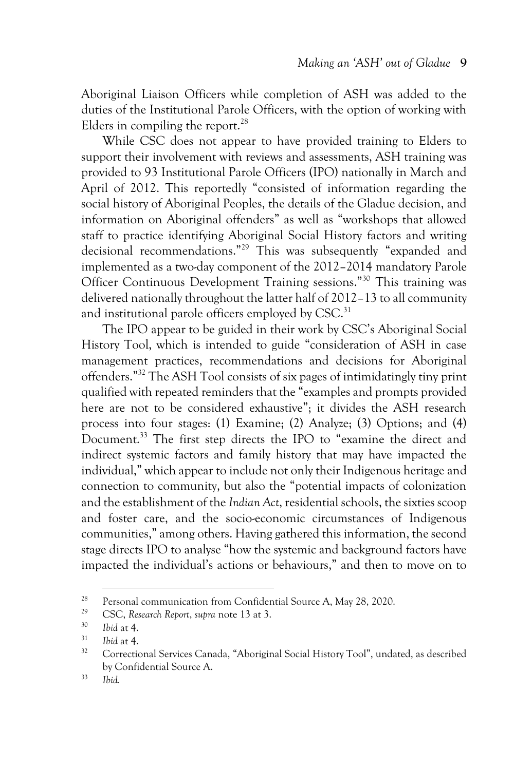Aboriginal Liaison Officers while completion of ASH was added to the duties of the Institutional Parole Officers, with the option of working with Elders in compiling the report.<sup>28</sup>

While CSC does not appear to have provided training to Elders to support their involvement with reviews and assessments, ASH training was provided to 93 Institutional Parole Officers (IPO) nationally in March and April of 2012. This reportedly "consisted of information regarding the social history of Aboriginal Peoples, the details of the Gladue decision, and information on Aboriginal offenders" as well as "workshops that allowed staff to practice identifying Aboriginal Social History factors and writing decisional recommendations."<sup>29</sup> This was subsequently "expanded and implemented as a two-day component of the 2012–2014 mandatory Parole Officer Continuous Development Training sessions."<sup>30</sup> This training was delivered nationally throughout the latter half of 2012–13 to all community and institutional parole officers employed by CSC.<sup>31</sup>

The IPO appear to be guided in their work by CSC's Aboriginal Social History Tool, which is intended to guide "consideration of ASH in case management practices, recommendations and decisions for Aboriginal offenders."<sup>32</sup> The ASH Tool consists of six pages of intimidatingly tiny print qualified with repeated reminders that the "examples and prompts provided here are not to be considered exhaustive"; it divides the ASH research process into four stages: (1) Examine; (2) Analyze; (3) Options; and (4) Document.<sup>33</sup> The first step directs the IPO to "examine the direct and indirect systemic factors and family history that may have impacted the individual," which appear to include not only their Indigenous heritage and connection to community, but also the "potential impacts of colonization and the establishment of the *Indian Act*, residential schools, the sixties scoop and foster care, and the socio-economic circumstances of Indigenous communities," among others. Having gathered this information, the second stage directs IPO to analyse "how the systemic and background factors have impacted the individual's actions or behaviours," and then to move on to

<sup>&</sup>lt;sup>28</sup> Personal communication from Confidential Source A, May 28, 2020.

<sup>29</sup> CSC, *Research Report*, *supra* note 13 at 3.

<sup>30</sup> *Ibid* at 4.

 $31$  *Ibid at 4.* 

<sup>&</sup>lt;sup>32</sup> Correctional Services Canada, "Aboriginal Social History Tool", undated, as described by Confidential Source A.

<sup>33</sup> *Ibid.*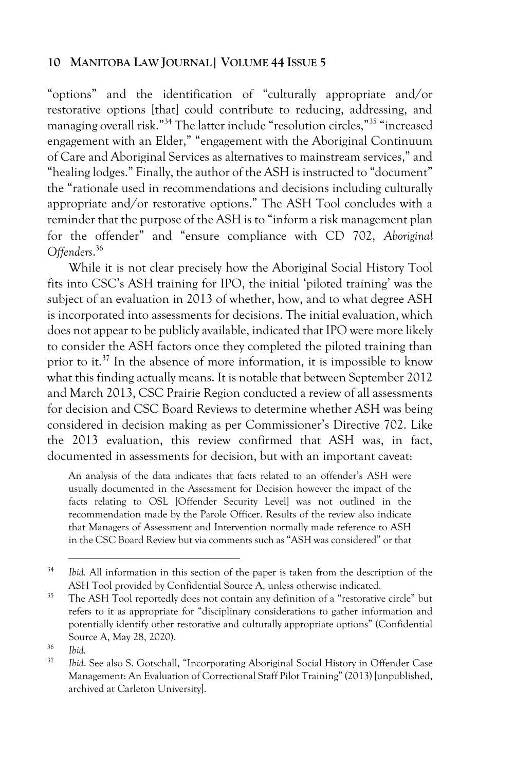"options" and the identification of "culturally appropriate and/or restorative options [that] could contribute to reducing, addressing, and managing overall risk."<sup>34</sup> The latter include "resolution circles,"<sup>35</sup> "increased engagement with an Elder," "engagement with the Aboriginal Continuum of Care and Aboriginal Services as alternatives to mainstream services," and "healing lodges." Finally, the author of the ASH is instructed to "document" the "rationale used in recommendations and decisions including culturally appropriate and/or restorative options." The ASH Tool concludes with a reminder that the purpose of the ASH is to "inform a risk management plan for the offender" and "ensure compliance with CD 702, *Aboriginal Offenders*. 36

While it is not clear precisely how the Aboriginal Social History Tool fits into CSC's ASH training for IPO, the initial 'piloted training' was the subject of an evaluation in 2013 of whether, how, and to what degree ASH is incorporated into assessments for decisions. The initial evaluation, which does not appear to be publicly available, indicated that IPO were more likely to consider the ASH factors once they completed the piloted training than prior to it.<sup>37</sup> In the absence of more information, it is impossible to know what this finding actually means. It is notable that between September 2012 and March 2013, CSC Prairie Region conducted a review of all assessments for decision and CSC Board Reviews to determine whether ASH was being considered in decision making as per Commissioner's Directive 702. Like the 2013 evaluation, this review confirmed that ASH was, in fact, documented in assessments for decision, but with an important caveat:

An analysis of the data indicates that facts related to an offender's ASH were usually documented in the Assessment for Decision however the impact of the facts relating to OSL [Offender Security Level] was not outlined in the recommendation made by the Parole Officer. Results of the review also indicate that Managers of Assessment and Intervention normally made reference to ASH in the CSC Board Review but via comments such as "ASH was considered" or that

<sup>34</sup> *Ibid.* All information in this section of the paper is taken from the description of the ASH Tool provided by Confidential Source A, unless otherwise indicated.

 $35$  The ASH Tool reportedly does not contain any definition of a "restorative circle" but refers to it as appropriate for "disciplinary considerations to gather information and potentially identify other restorative and culturally appropriate options" (Confidential Source A, May 28, 2020).

<sup>36</sup> *Ibid.*

<sup>37</sup> *Ibid*. See also S. Gotschall, "Incorporating Aboriginal Social History in Offender Case Management: An Evaluation of Correctional Staff Pilot Training" (2013) [unpublished, archived at Carleton University].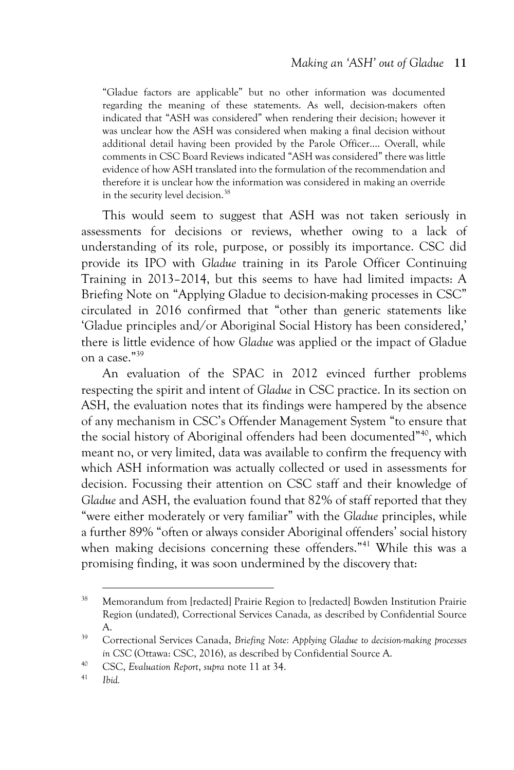"Gladue factors are applicable" but no other information was documented regarding the meaning of these statements. As well, decision-makers often indicated that "ASH was considered" when rendering their decision; however it was unclear how the ASH was considered when making a final decision without additional detail having been provided by the Parole Officer…. Overall, while comments in CSC Board Reviews indicated "ASH was considered" there was little evidence of how ASH translated into the formulation of the recommendation and therefore it is unclear how the information was considered in making an override in the security level decision.<sup>38</sup>

This would seem to suggest that ASH was not taken seriously in assessments for decisions or reviews, whether owing to a lack of understanding of its role, purpose, or possibly its importance. CSC did provide its IPO with *Gladue* training in its Parole Officer Continuing Training in 2013–2014, but this seems to have had limited impacts: A Briefing Note on "Applying Gladue to decision-making processes in CSC" circulated in 2016 confirmed that "other than generic statements like 'Gladue principles and/or Aboriginal Social History has been considered,' there is little evidence of how *Gladue* was applied or the impact of Gladue on a case."<sup>39</sup>

An evaluation of the SPAC in 2012 evinced further problems respecting the spirit and intent of *Gladue* in CSC practice. In its section on ASH, the evaluation notes that its findings were hampered by the absence of any mechanism in CSC's Offender Management System "to ensure that the social history of Aboriginal offenders had been documented"<sup>40</sup>, which meant no, or very limited, data was available to confirm the frequency with which ASH information was actually collected or used in assessments for decision. Focussing their attention on CSC staff and their knowledge of *Gladue* and ASH, the evaluation found that 82% of staff reported that they "were either moderately or very familiar" with the *Gladue* principles, while a further 89% "often or always consider Aboriginal offenders' social history when making decisions concerning these offenders."<sup>41</sup> While this was a promising finding, it was soon undermined by the discovery that:

<sup>&</sup>lt;sup>38</sup> Memorandum from [redacted] Prairie Region to [redacted] Bowden Institution Prairie Region (undated), Correctional Services Canada, as described by Confidential Source A.

<sup>39</sup> Correctional Services Canada, *Briefing Note: Applying Gladue to decision-making processes in CSC* (Ottawa: CSC, 2016), as described by Confidential Source A.

<sup>40</sup> CSC, *Evaluation Report*, *supra* note 11 at 34.

<sup>41</sup> *Ibid.*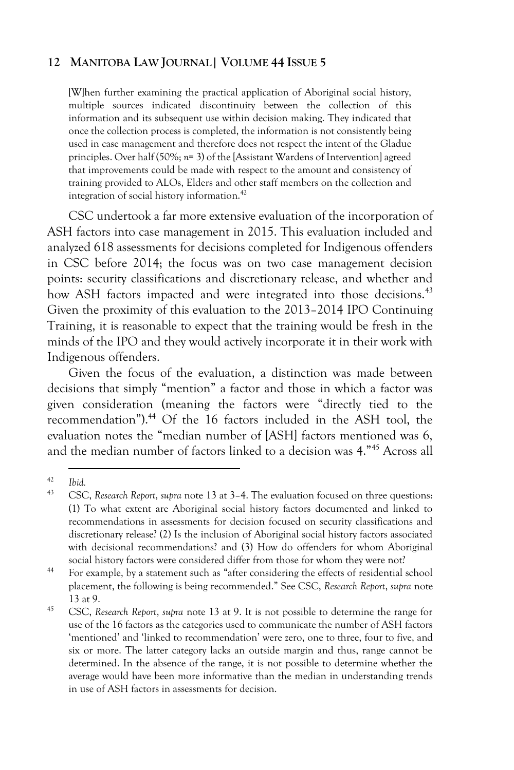[W]hen further examining the practical application of Aboriginal social history, multiple sources indicated discontinuity between the collection of this information and its subsequent use within decision making. They indicated that once the collection process is completed, the information is not consistently being used in case management and therefore does not respect the intent of the Gladue principles. Over half (50%; *n*= 3) of the [Assistant Wardens of Intervention] agreed that improvements could be made with respect to the amount and consistency of training provided to ALOs, Elders and other staff members on the collection and integration of social history information.<sup>42</sup>

CSC undertook a far more extensive evaluation of the incorporation of ASH factors into case management in 2015. This evaluation included and analyzed 618 assessments for decisions completed for Indigenous offenders in CSC before 2014; the focus was on two case management decision points: security classifications and discretionary release, and whether and how ASH factors impacted and were integrated into those decisions.<sup>43</sup> Given the proximity of this evaluation to the 2013–2014 IPO Continuing Training, it is reasonable to expect that the training would be fresh in the minds of the IPO and they would actively incorporate it in their work with Indigenous offenders.

Given the focus of the evaluation, a distinction was made between decisions that simply "mention" a factor and those in which a factor was given consideration (meaning the factors were "directly tied to the recommendation").<sup>44</sup> Of the 16 factors included in the ASH tool, the evaluation notes the "median number of [ASH] factors mentioned was 6, and the median number of factors linked to a decision was 4."<sup>45</sup> Across all

 $\frac{42}{43}$  *Ibid.* 

<sup>43</sup> CSC, *Research Report*, *supra* note 13 at 3–4. The evaluation focused on three questions: (1) To what extent are Aboriginal social history factors documented and linked to recommendations in assessments for decision focused on security classifications and discretionary release? (2) Is the inclusion of Aboriginal social history factors associated with decisional recommendations? and (3) How do offenders for whom Aboriginal social history factors were considered differ from those for whom they were not?

<sup>44</sup> For example, by a statement such as "after considering the effects of residential school placement, the following is being recommended." See CSC, *Research Report*, *supra* note 13 at 9.

<sup>45</sup> CSC, *Research Report*, *supra* note 13 at 9. It is not possible to determine the range for use of the 16 factors as the categories used to communicate the number of ASH factors 'mentioned' and 'linked to recommendation' were zero, one to three, four to five, and six or more. The latter category lacks an outside margin and thus, range cannot be determined. In the absence of the range, it is not possible to determine whether the average would have been more informative than the median in understanding trends in use of ASH factors in assessments for decision.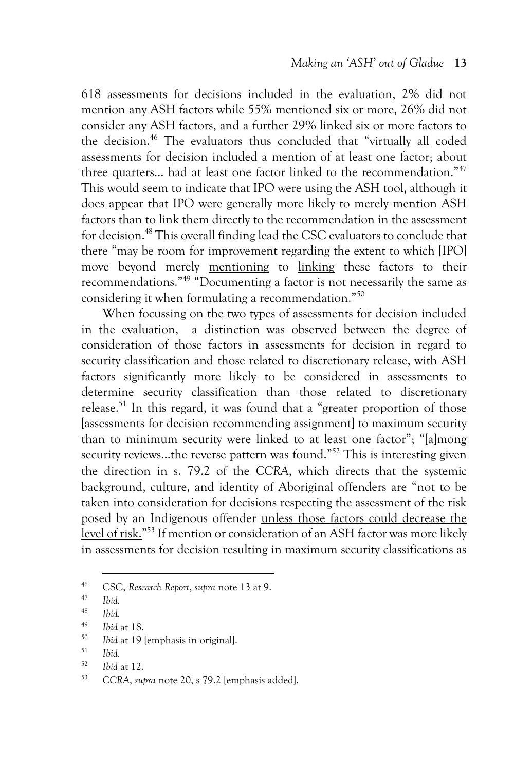618 assessments for decisions included in the evaluation, 2% did not mention any ASH factors while 55% mentioned six or more, 26% did not consider any ASH factors, and a further 29% linked six or more factors to the decision.<sup>46</sup> The evaluators thus concluded that "virtually all coded assessments for decision included a mention of at least one factor; about three quarters... had at least one factor linked to the recommendation."<sup>47</sup> This would seem to indicate that IPO were using the ASH tool, although it does appear that IPO were generally more likely to merely mention ASH factors than to link them directly to the recommendation in the assessment for decision.<sup>48</sup> This overall finding lead the CSC evaluators to conclude that there "may be room for improvement regarding the extent to which [IPO] move beyond merely mentioning to linking these factors to their recommendations."<sup>49</sup> "Documenting a factor is not necessarily the same as considering it when formulating a recommendation."<sup>50</sup>

When focussing on the two types of assessments for decision included in the evaluation, a distinction was observed between the degree of consideration of those factors in assessments for decision in regard to security classification and those related to discretionary release, with ASH factors significantly more likely to be considered in assessments to determine security classification than those related to discretionary release.<sup>51</sup> In this regard, it was found that a "greater proportion of those [assessments for decision recommending assignment] to maximum security than to minimum security were linked to at least one factor"; "[a]mong security reviews...the reverse pattern was found."<sup>52</sup> This is interesting given the direction in s. 79.2 of the *CCRA*, which directs that the systemic background, culture, and identity of Aboriginal offenders are "not to be taken into consideration for decisions respecting the assessment of the risk posed by an Indigenous offender unless those factors could decrease the level of risk."<sup>53</sup> If mention or consideration of an ASH factor was more likely in assessments for decision resulting in maximum security classifications as

<sup>46</sup> CSC, *Research Report*, *supra* note 13 at 9.

<sup>47</sup> *Ibid.*

 $\frac{48}{49}$  *Ibid.* 

*Ibid* at 18.

<sup>50</sup> *Ibid* at 19 [emphasis in original].

<sup>51</sup> *Ibid.*

<sup>52</sup> *Ibid* at 12.

<sup>53</sup> *CCRA*, *supra* note 20, s 79.2 [emphasis added].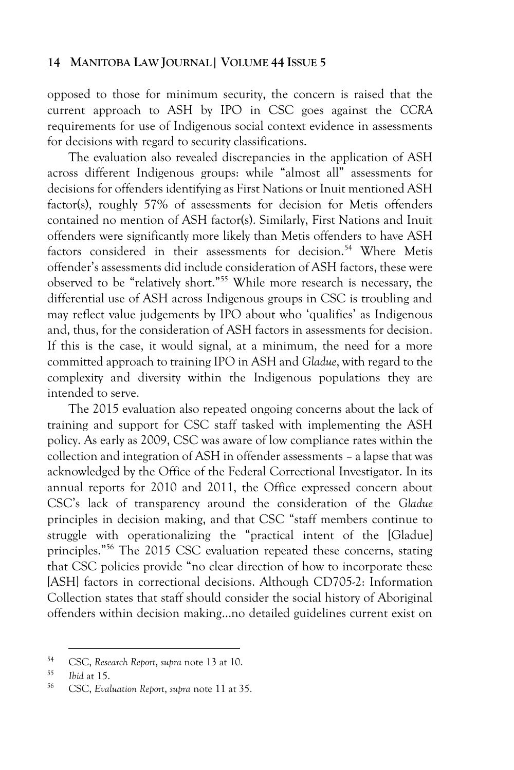opposed to those for minimum security, the concern is raised that the current approach to ASH by IPO in CSC goes against the *CCRA* requirements for use of Indigenous social context evidence in assessments for decisions with regard to security classifications.

The evaluation also revealed discrepancies in the application of ASH across different Indigenous groups: while "almost all" assessments for decisions for offenders identifying as First Nations or Inuit mentioned ASH factor(s), roughly 57% of assessments for decision for Metis offenders contained no mention of ASH factor(s). Similarly, First Nations and Inuit offenders were significantly more likely than Metis offenders to have ASH factors considered in their assessments for decision.<sup>54</sup> Where Metis offender's assessments did include consideration of ASH factors, these were observed to be "relatively short."<sup>55</sup> While more research is necessary, the differential use of ASH across Indigenous groups in CSC is troubling and may reflect value judgements by IPO about who 'qualifies' as Indigenous and, thus, for the consideration of ASH factors in assessments for decision. If this is the case, it would signal, at a minimum, the need for a more committed approach to training IPO in ASH and *Gladue*, with regard to the complexity and diversity within the Indigenous populations they are intended to serve.

The 2015 evaluation also repeated ongoing concerns about the lack of training and support for CSC staff tasked with implementing the ASH policy. As early as 2009, CSC was aware of low compliance rates within the collection and integration of ASH in offender assessments – a lapse that was acknowledged by the Office of the Federal Correctional Investigator. In its annual reports for 2010 and 2011, the Office expressed concern about CSC's lack of transparency around the consideration of the *Gladue* principles in decision making, and that CSC "staff members continue to struggle with operationalizing the "practical intent of the [Gladue] principles."<sup>56</sup> The 2015 CSC evaluation repeated these concerns, stating that CSC policies provide "no clear direction of how to incorporate these [ASH] factors in correctional decisions. Although CD705-2: Information Collection states that staff should consider the social history of Aboriginal offenders within decision making…no detailed guidelines current exist on

<sup>54</sup> CSC, *Research Report*, *supra* note 13 at 10.

*Ibid* at 15.

<sup>56</sup> CSC, *Evaluation Report*, *supra* note 11 at 35.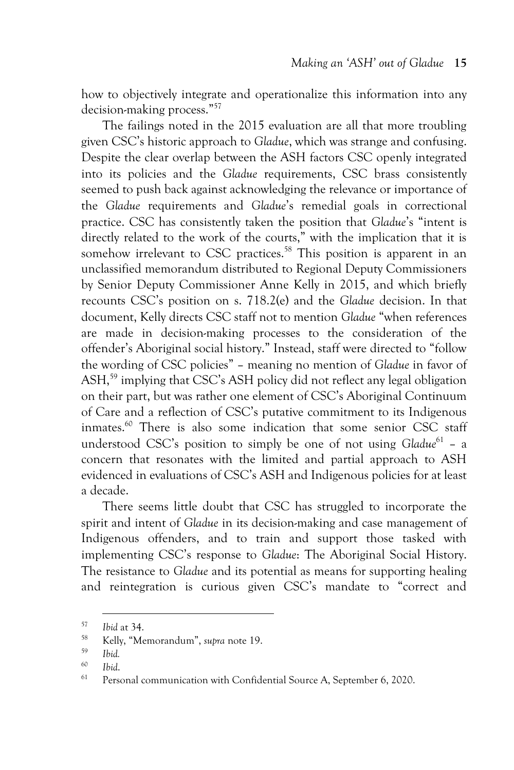how to objectively integrate and operationalize this information into any decision-making process."<sup>57</sup>

The failings noted in the 2015 evaluation are all that more troubling given CSC's historic approach to *Gladue*, which was strange and confusing. Despite the clear overlap between the ASH factors CSC openly integrated into its policies and the *Gladue* requirements, CSC brass consistently seemed to push back against acknowledging the relevance or importance of the *Gladue* requirements and *Gladue*'s remedial goals in correctional practice. CSC has consistently taken the position that *Gladue*'s "intent is directly related to the work of the courts," with the implication that it is somehow irrelevant to CSC practices.<sup>58</sup> This position is apparent in an unclassified memorandum distributed to Regional Deputy Commissioners by Senior Deputy Commissioner Anne Kelly in 2015, and which briefly recounts CSC's position on s. 718.2(e) and the *Gladue* decision. In that document, Kelly directs CSC staff not to mention *Gladue* "when references are made in decision-making processes to the consideration of the offender's Aboriginal social history." Instead, staff were directed to "follow the wording of CSC policies" – meaning no mention of *Gladue* in favor of ASH,<sup>59</sup> implying that CSC's ASH policy did not reflect any legal obligation on their part, but was rather one element of CSC's Aboriginal Continuum of Care and a reflection of CSC's putative commitment to its Indigenous inmates.<sup>60</sup> There is also some indication that some senior CSC staff understood CSC's position to simply be one of not using *Gladue*<sup>61</sup> - a concern that resonates with the limited and partial approach to ASH evidenced in evaluations of CSC's ASH and Indigenous policies for at least a decade.

There seems little doubt that CSC has struggled to incorporate the spirit and intent of *Gladue* in its decision-making and case management of Indigenous offenders, and to train and support those tasked with implementing CSC's response to *Gladue*: The Aboriginal Social History. The resistance to *Gladue* and its potential as means for supporting healing and reintegration is curious given CSC's mandate to "correct and

<sup>57</sup> *Ibid* at 34.

<sup>58</sup> Kelly, "Memorandum", *supra* note 19.

<sup>59</sup> *Ibid.*

<sup>60</sup> *Ibid*.

Personal communication with Confidential Source A, September 6, 2020.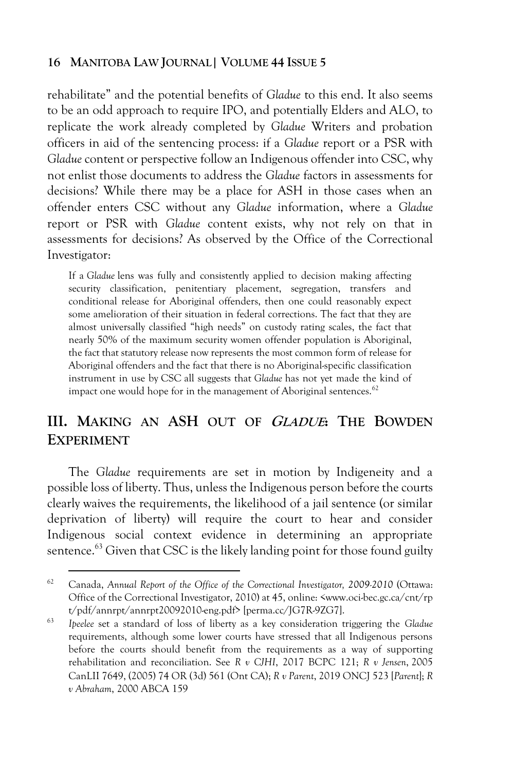rehabilitate" and the potential benefits of *Gladue* to this end. It also seems to be an odd approach to require IPO, and potentially Elders and ALO, to replicate the work already completed by *Gladue* Writers and probation officers in aid of the sentencing process: if a *Gladue* report or a PSR with *Gladue* content or perspective follow an Indigenous offender into CSC, why not enlist those documents to address the *Gladue* factors in assessments for decisions? While there may be a place for ASH in those cases when an offender enters CSC without any *Gladue* information, where a *Gladue* report or PSR with *Gladue* content exists, why not rely on that in assessments for decisions? As observed by the Office of the Correctional Investigator:

If a *Gladue* lens was fully and consistently applied to decision making affecting security classification, penitentiary placement, segregation, transfers and conditional release for Aboriginal offenders, then one could reasonably expect some amelioration of their situation in federal corrections. The fact that they are almost universally classified "high needs" on custody rating scales, the fact that nearly 50% of the maximum security women offender population is Aboriginal, the fact that statutory release now represents the most common form of release for Aboriginal offenders and the fact that there is no Aboriginal-specific classification instrument in use by CSC all suggests that *Gladue* has not yet made the kind of impact one would hope for in the management of Aboriginal sentences.<sup>62</sup>

# **III. MAKING AN ASH OUT OF GLADUE: THE BOWDEN EXPERIMENT**

The *Gladue* requirements are set in motion by Indigeneity and a possible loss of liberty. Thus, unless the Indigenous person before the courts clearly waives the requirements, the likelihood of a jail sentence (or similar deprivation of liberty) will require the court to hear and consider Indigenous social context evidence in determining an appropriate sentence.<sup>63</sup> Given that CSC is the likely landing point for those found guilty

<sup>62</sup> Canada, *Annual Report of the Office of the Correctional Investigator, 2009-2010* (Ottawa: Office of the Correctional Investigator, 2010) at 45, online: <www.oci-bec.gc.ca/cnt/rp t/pdf/annrpt/annrpt20092010-eng.pdf> [perma.cc/JG7R-9ZG7].

<sup>63</sup> *Ipeelee* set a standard of loss of liberty as a key consideration triggering the *Gladue* requirements, although some lower courts have stressed that all Indigenous persons before the courts should benefit from the requirements as a way of supporting rehabilitation and reconciliation. See *R v CJHI*, 2017 BCPC 121; *R v Jensen*, 2005 CanLII 7649, (2005) 74 OR (3d) 561 (Ont CA); *[R v Parent](https://advance-lexis-com.proxy.library.carleton.ca/api/document/collection/cases-ca/id/5WMS-CWM1-JP9P-G42S-00000-00?cite=R.%20v.%20Parent%2C%20%5B2019%5D%20O.J.%20No.%203799&context=1505209&icsfeatureid=1517129)*, 2019 ONCJ 523 [*Parent*]; *R v Abraham*, 2000 ABCA 159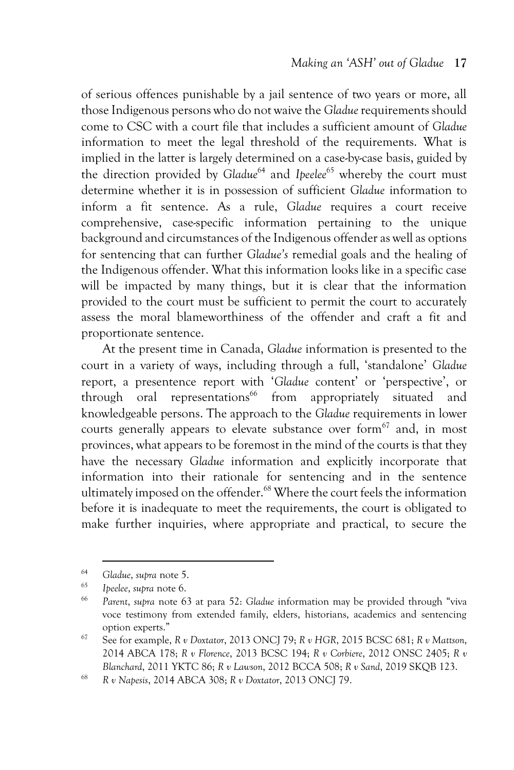of serious offences punishable by a jail sentence of two years or more, all those Indigenous persons who do not waive the *Gladue* requirements should come to CSC with a court file that includes a sufficient amount of *Gladue* information to meet the legal threshold of the requirements. What is implied in the latter is largely determined on a case-by-case basis, guided by the direction provided by *Gladue*<sup>64</sup> and *Ipeelee*<sup>65</sup> whereby the court must determine whether it is in possession of sufficient *Gladue* information to inform a fit sentence. As a rule, *Gladue* requires a court receive comprehensive, case-specific information pertaining to the unique background and circumstances of the Indigenous offender as well as options for sentencing that can further *Gladue's* remedial goals and the healing of the Indigenous offender. What this information looks like in a specific case will be impacted by many things, but it is clear that the information provided to the court must be sufficient to permit the court to accurately assess the moral blameworthiness of the offender and craft a fit and proportionate sentence.

At the present time in Canada, *Gladue* information is presented to the court in a variety of ways, including through a full, 'standalone' *Gladue* report, a presentence report with '*Gladue* content' or 'perspective', or through oral representations<sup>66</sup> from appropriately situated and knowledgeable persons. The approach to the *Gladue* requirements in lower courts generally appears to elevate substance over form<sup>67</sup> and, in most provinces, what appears to be foremost in the mind of the courts is that they have the necessary *Gladue* information and explicitly incorporate that information into their rationale for sentencing and in the sentence ultimately imposed on the offender.<sup>68</sup> Where the court feels the information before it is inadequate to meet the requirements, the court is obligated to make further inquiries, where appropriate and practical, to secure the

<sup>64</sup> *Gladue*, *supra* note 5.

<sup>65</sup> *Ipeelee*, *supra* note 6.

<sup>66</sup> *[Parent](https://advance-lexis-com.proxy.library.carleton.ca/api/document/collection/cases-ca/id/5WMS-CWM1-JP9P-G42S-00000-00?cite=R.%20v.%20Parent%2C%20%5B2019%5D%20O.J.%20No.%203799&context=1505209&icsfeatureid=1517129)*, *supra* note 63 at para 52: *Gladue* information may be provided through "viva voce testimony from extended family, elders, historians, academics and sentencing option experts."

<sup>67</sup> See for example, *R v Doxtator*, 2013 ONCJ 79; *R v HGR*, 2015 BCSC 681; *R v Mattson*, 2014 ABCA 178; *R v Florence*, 2013 BCSC 194; *R v Corbiere*, 2012 ONSC 2405; *R v Blanchard*, 2011 YKTC 86; *R v Lawson*, 2012 BCCA 508; *R v Sand*, 2019 SKQB 123.

<sup>68</sup> *R v Napesis*, 2014 ABCA 308; *R v Doxtator*, 2013 ONCJ 79.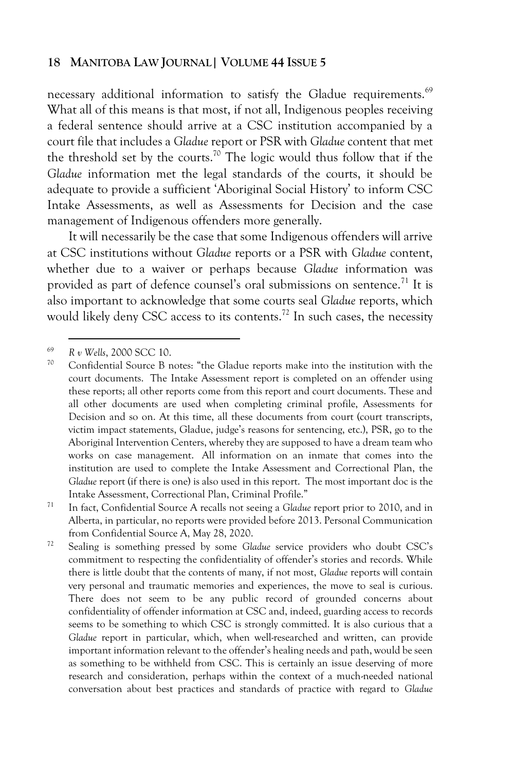necessary additional information to satisfy the Gladue requirements.<sup>69</sup> What all of this means is that most, if not all, Indigenous peoples receiving a federal sentence should arrive at a CSC institution accompanied by a court file that includes a *Gladue* report or PSR with *Gladue* content that met the threshold set by the courts.<sup>70</sup> The logic would thus follow that if the *Gladue* information met the legal standards of the courts, it should be adequate to provide a sufficient 'Aboriginal Social History' to inform CSC Intake Assessments, as well as Assessments for Decision and the case management of Indigenous offenders more generally.

It will necessarily be the case that some Indigenous offenders will arrive at CSC institutions without *Gladue* reports or a PSR with *Gladue* content, whether due to a waiver or perhaps because *Gladue* information was provided as part of defence counsel's oral submissions on sentence.<sup>71</sup> It is also important to acknowledge that some courts seal *Gladue* reports, which would likely deny CSC access to its contents.<sup>72</sup> In such cases, the necessity

<sup>69</sup> *R v Wells*, 2000 SCC 10.

 $70$  Confidential Source B notes: "the Gladue reports make into the institution with the court documents. The Intake Assessment report is completed on an offender using these reports; all other reports come from this report and court documents. These and all other documents are used when completing criminal profile, Assessments for Decision and so on. At this time, all these documents from court (court transcripts, victim impact statements, Gladue, judge's reasons for sentencing, etc.), PSR, go to the Aboriginal Intervention Centers, whereby they are supposed to have a dream team who works on case management. All information on an inmate that comes into the institution are used to complete the Intake Assessment and Correctional Plan, the *Gladue* report (if there is one) is also used in this report. The most important doc is the Intake Assessment, Correctional Plan, Criminal Profile."

<sup>71</sup> In fact, Confidential Source A recalls not seeing a *Gladue* report prior to 2010, and in Alberta, in particular, no reports were provided before 2013. Personal Communication from Confidential Source A, May 28, 2020.

<sup>72</sup> Sealing is something pressed by some *Gladue* service providers who doubt CSC's commitment to respecting the confidentiality of offender's stories and records. While there is little doubt that the contents of many, if not most, *Gladue* reports will contain very personal and traumatic memories and experiences, the move to seal is curious. There does not seem to be any public record of grounded concerns about confidentiality of offender information at CSC and, indeed, guarding access to records seems to be something to which CSC is strongly committed. It is also curious that a *Gladue* report in particular, which, when well-researched and written, can provide important information relevant to the offender's healing needs and path, would be seen as something to be withheld from CSC. This is certainly an issue deserving of more research and consideration, perhaps within the context of a much-needed national conversation about best practices and standards of practice with regard to *Gladue*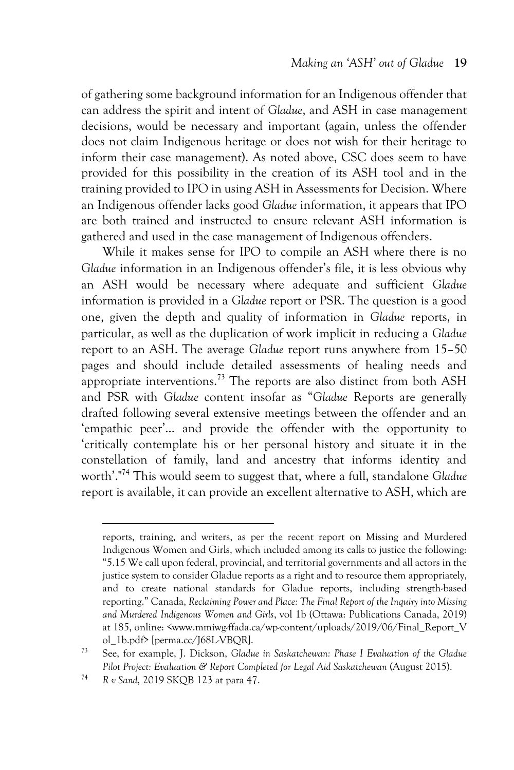of gathering some background information for an Indigenous offender that can address the spirit and intent of *Gladue*, and ASH in case management decisions, would be necessary and important (again, unless the offender does not claim Indigenous heritage or does not wish for their heritage to inform their case management). As noted above, CSC does seem to have provided for this possibility in the creation of its ASH tool and in the training provided to IPO in using ASH in Assessments for Decision. Where an Indigenous offender lacks good *Gladue* information, it appears that IPO are both trained and instructed to ensure relevant ASH information is gathered and used in the case management of Indigenous offenders.

While it makes sense for IPO to compile an ASH where there is no *Gladue* information in an Indigenous offender's file, it is less obvious why an ASH would be necessary where adequate and sufficient *Gladue* information is provided in a *Gladue* report or PSR. The question is a good one, given the depth and quality of information in *Gladue* reports, in particular, as well as the duplication of work implicit in reducing a *Gladue* report to an ASH. The average *Gladue* report runs anywhere from 15–50 pages and should include detailed assessments of healing needs and appropriate interventions.<sup>73</sup> The reports are also distinct from both ASH and PSR with *Gladue* content insofar as "*Gladue* Reports are generally drafted following several extensive meetings between the offender and an 'empathic peer'… and provide the offender with the opportunity to 'critically contemplate his or her personal history and situate it in the constellation of family, land and ancestry that informs identity and worth'."<sup>74</sup> This would seem to suggest that, where a full, standalone *Gladue* report is available, it can provide an excellent alternative to ASH, which are

reports, training, and writers, as per the recent report on Missing and Murdered Indigenous Women and Girls, which included among its calls to justice the following: "5.15 We call upon federal, provincial, and territorial governments and all actors in the justice system to consider Gladue reports as a right and to resource them appropriately, and to create national standards for Gladue reports, including strength-based reporting." Canada, *Reclaiming Power and Place: The Final Report of the Inquiry into Missing and Murdered Indigenous Women and Girls*, vol 1b (Ottawa: Publications Canada, 2019) at 185, online: <www.mmiwg-ffada.ca/wp-content/uploads/2019/06/Final\_Report\_V ol\_1b.pdf> [perma.cc/J68L-VBQR].

<sup>73</sup> See, for example, J. Dickson, *Gladue in Saskatchewan: Phase I Evaluation of the Gladue Pilot Project: Evaluation & Report Completed for Legal Aid Saskatchewan* (August 2015).

<sup>74</sup> *R v Sand*, 2019 SKQB 123 at para 47.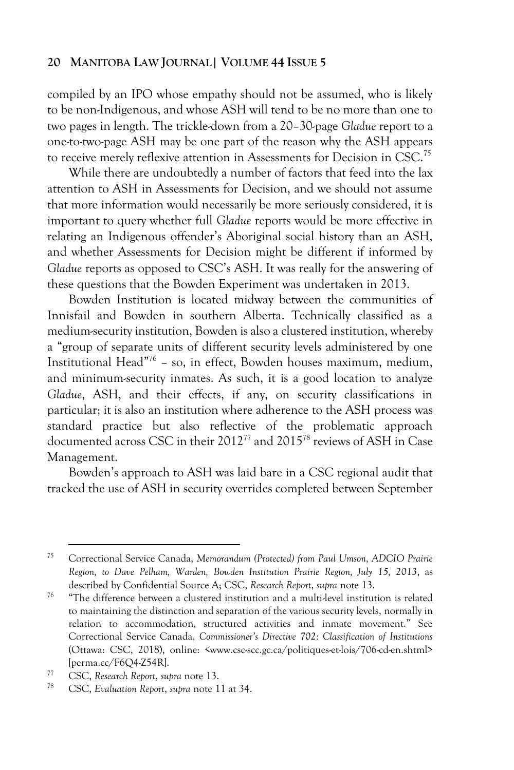compiled by an IPO whose empathy should not be assumed, who is likely to be non-Indigenous, and whose ASH will tend to be no more than one to two pages in length. The trickle-down from a 20–30-page *Gladue* report to a one-to-two-page ASH may be one part of the reason why the ASH appears to receive merely reflexive attention in Assessments for Decision in CSC.<sup>75</sup>

While there are undoubtedly a number of factors that feed into the lax attention to ASH in Assessments for Decision, and we should not assume that more information would necessarily be more seriously considered, it is important to query whether full *Gladue* reports would be more effective in relating an Indigenous offender's Aboriginal social history than an ASH, and whether Assessments for Decision might be different if informed by *Gladue* reports as opposed to CSC's ASH. It was really for the answering of these questions that the Bowden Experiment was undertaken in 2013.

Bowden Institution is located midway between the communities of Innisfail and Bowden in southern Alberta. Technically classified as a medium-security institution, Bowden is also a clustered institution, whereby a "group of separate units of different security levels administered by one Institutional Head"<sup>76</sup> – so, in effect, Bowden houses maximum, medium, and minimum-security inmates. As such, it is a good location to analyze *Gladue*, ASH, and their effects, if any, on security classifications in particular; it is also an institution where adherence to the ASH process was standard practice but also reflective of the problematic approach documented across CSC in their 2012<sup>77</sup> and 2015<sup>78</sup> reviews of ASH in Case Management.

Bowden's approach to ASH was laid bare in a CSC regional audit that tracked the use of ASH in security overrides completed between September

<sup>75</sup> Correctional Service Canada, *Memorandum (Protected) from Paul Umson, ADCIO Prairie Region, to Dave Pelham, Warden, Bowden Institution Prairie Region, July 15, 2013*, as described by Confidential Source A; CSC, *Research Report*, *supra* note 13.

 $76$  "The difference between a clustered institution and a multi-level institution is related to maintaining the distinction and separation of the various security levels, normally in relation to accommodation, structured activities and inmate movement." See Correctional Service Canada, *Commissioner's Directive 702: Classification of Institutions* (Ottawa: CSC, 2018), online: <www.csc-scc.gc.ca/politiques-et-lois/706-cd-en.shtml> [perma.cc/F6Q4-Z54R].

<sup>77</sup> CSC, *Research Report*, *supra* note 13.

<sup>78</sup> CSC, *Evaluation Report*, *supra* note 11 at 34.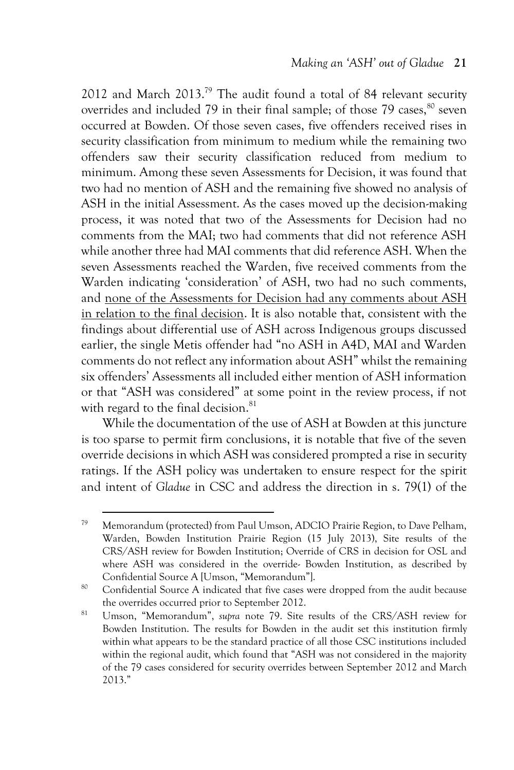2012 and March 2013.<sup>79</sup> The audit found a total of 84 relevant security overrides and included 79 in their final sample; of those 79 cases.<sup>80</sup> seven occurred at Bowden. Of those seven cases, five offenders received rises in security classification from minimum to medium while the remaining two offenders saw their security classification reduced from medium to minimum. Among these seven Assessments for Decision, it was found that two had no mention of ASH and the remaining five showed no analysis of ASH in the initial Assessment. As the cases moved up the decision-making process, it was noted that two of the Assessments for Decision had no comments from the MAI; two had comments that did not reference ASH while another three had MAI comments that did reference ASH. When the seven Assessments reached the Warden, five received comments from the Warden indicating 'consideration' of ASH, two had no such comments, and none of the Assessments for Decision had any comments about ASH in relation to the final decision. It is also notable that, consistent with the findings about differential use of ASH across Indigenous groups discussed earlier, the single Metis offender had "no ASH in A4D, MAI and Warden comments do not reflect any information about ASH" whilst the remaining six offenders' Assessments all included either mention of ASH information or that "ASH was considered" at some point in the review process, if not with regard to the final decision.<sup>81</sup>

While the documentation of the use of ASH at Bowden at this juncture is too sparse to permit firm conclusions, it is notable that five of the seven override decisions in which ASH was considered prompted a rise in security ratings. If the ASH policy was undertaken to ensure respect for the spirit and intent of *Gladue* in CSC and address the direction in s. 79(1) of the

<sup>79</sup> Memorandum (protected) from Paul Umson, ADCIO Prairie Region, to Dave Pelham, Warden, Bowden Institution Prairie Region (15 July 2013), Site results of the CRS/ASH review for Bowden Institution; Override of CRS in decision for OSL and where ASH was considered in the override- Bowden Institution, as described by Confidential Source A [Umson, "Memorandum"].

<sup>&</sup>lt;sup>80</sup> Confidential Source A indicated that five cases were dropped from the audit because the overrides occurred prior to September 2012.

<sup>81</sup> Umson, "Memorandum", *supra* note 79. Site results of the CRS/ASH review for Bowden Institution. The results for Bowden in the audit set this institution firmly within what appears to be the standard practice of all those CSC institutions included within the regional audit, which found that "ASH was not considered in the majority of the 79 cases considered for security overrides between September 2012 and March 2013."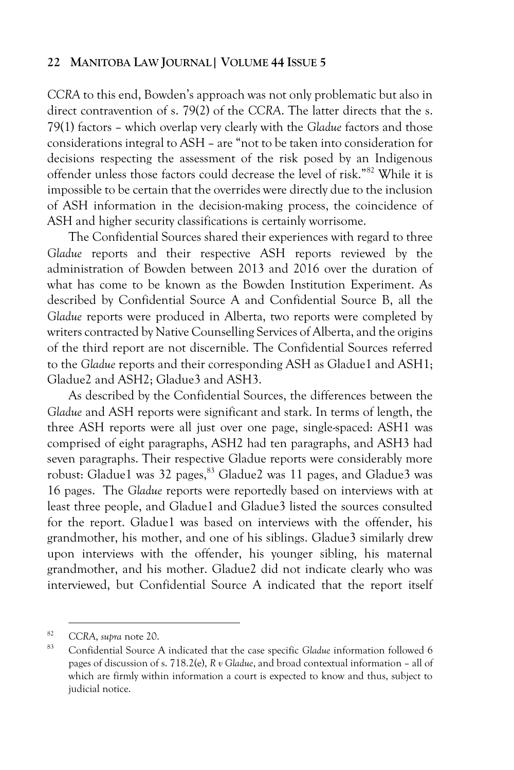*CCRA* to this end, Bowden's approach was not only problematic but also in direct contravention of s. 79(2) of the *CCRA*. The latter directs that the s. 79(1) factors – which overlap very clearly with the *Gladue* factors and those considerations integral to ASH – are "not to be taken into consideration for decisions respecting the assessment of the risk posed by an Indigenous offender unless those factors could decrease the level of risk."<sup>82</sup> While it is impossible to be certain that the overrides were directly due to the inclusion of ASH information in the decision-making process, the coincidence of ASH and higher security classifications is certainly worrisome.

The Confidential Sources shared their experiences with regard to three *Gladue* reports and their respective ASH reports reviewed by the administration of Bowden between 2013 and 2016 over the duration of what has come to be known as the Bowden Institution Experiment. As described by Confidential Source A and Confidential Source B, all the *Gladue* reports were produced in Alberta, two reports were completed by writers contracted by Native Counselling Services of Alberta, and the origins of the third report are not discernible. The Confidential Sources referred to the *Gladue* reports and their corresponding ASH as Gladue1 and ASH1; Gladue2 and ASH2; Gladue3 and ASH3.

As described by the Confidential Sources, the differences between the *Gladue* and ASH reports were significant and stark. In terms of length, the three ASH reports were all just over one page, single-spaced: ASH1 was comprised of eight paragraphs, ASH2 had ten paragraphs, and ASH3 had seven paragraphs. Their respective Gladue reports were considerably more robust: Gladue1 was 32 pages,<sup>83</sup> Gladue2 was 11 pages, and Gladue3 was 16 pages. The *Gladue* reports were reportedly based on interviews with at least three people, and Gladue1 and Gladue3 listed the sources consulted for the report. Gladue1 was based on interviews with the offender, his grandmother, his mother, and one of his siblings. Gladue3 similarly drew upon interviews with the offender, his younger sibling, his maternal grandmother, and his mother. Gladue2 did not indicate clearly who was interviewed, but Confidential Source A indicated that the report itself

<sup>82</sup> *CCRA*, *supra* note 20.

<sup>83</sup> Confidential Source A indicated that the case specific *Gladue* information followed 6 pages of discussion of s. 718.2(e), *R v Gladue*, and broad contextual information – all of which are firmly within information a court is expected to know and thus, subject to judicial notice.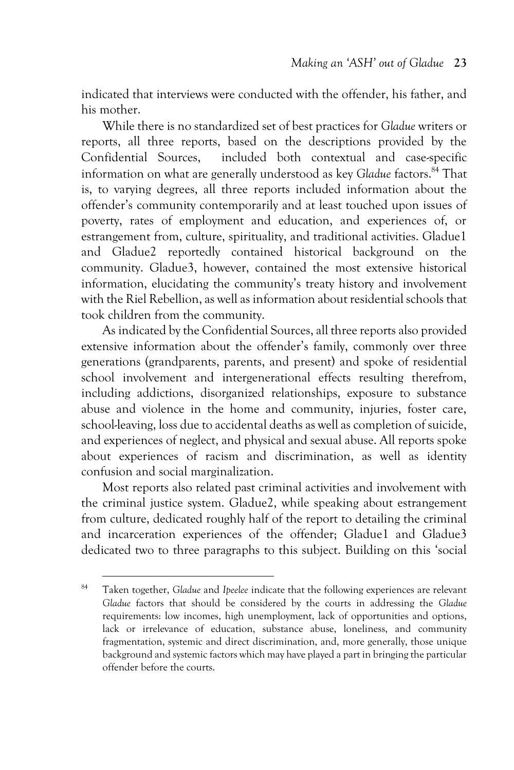indicated that interviews were conducted with the offender, his father, and his mother.

While there is no standardized set of best practices for *Gladue* writers or reports, all three reports, based on the descriptions provided by the Confidential Sources, included both contextual and case-specific information on what are generally understood as key *Gladue* factors.<sup>84</sup> That is, to varying degrees, all three reports included information about the offender's community contemporarily and at least touched upon issues of poverty, rates of employment and education, and experiences of, or estrangement from, culture, spirituality, and traditional activities. Gladue1 and Gladue2 reportedly contained historical background on the community. Gladue3, however, contained the most extensive historical information, elucidating the community's treaty history and involvement with the Riel Rebellion, as well as information about residential schools that took children from the community.

As indicated by the Confidential Sources, all three reports also provided extensive information about the offender's family, commonly over three generations (grandparents, parents, and present) and spoke of residential school involvement and intergenerational effects resulting therefrom, including addictions, disorganized relationships, exposure to substance abuse and violence in the home and community, injuries, foster care, school-leaving, loss due to accidental deaths as well as completion of suicide, and experiences of neglect, and physical and sexual abuse. All reports spoke about experiences of racism and discrimination, as well as identity confusion and social marginalization.

Most reports also related past criminal activities and involvement with the criminal justice system. Gladue2, while speaking about estrangement from culture, dedicated roughly half of the report to detailing the criminal and incarceration experiences of the offender; Gladue1 and Gladue3 dedicated two to three paragraphs to this subject. Building on this 'social

<sup>84</sup> Taken together, *Gladue* and *Ipeelee* indicate that the following experiences are relevant *Gladue* factors that should be considered by the courts in addressing the *Gladue* requirements: low incomes, high unemployment, lack of opportunities and options, lack or irrelevance of education, substance abuse, loneliness, and community fragmentation, systemic and direct discrimination, and, more generally, those unique background and systemic factors which may have played a part in bringing the particular offender before the courts.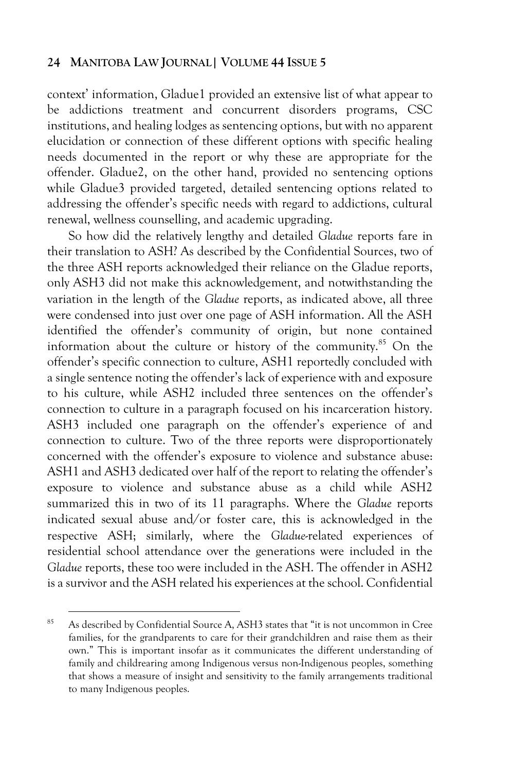context' information, Gladue1 provided an extensive list of what appear to be addictions treatment and concurrent disorders programs, CSC institutions, and healing lodges as sentencing options, but with no apparent elucidation or connection of these different options with specific healing needs documented in the report or why these are appropriate for the offender. Gladue2, on the other hand, provided no sentencing options while Gladue3 provided targeted, detailed sentencing options related to addressing the offender's specific needs with regard to addictions, cultural renewal, wellness counselling, and academic upgrading.

So how did the relatively lengthy and detailed *Gladue* reports fare in their translation to ASH? As described by the Confidential Sources, two of the three ASH reports acknowledged their reliance on the Gladue reports, only ASH3 did not make this acknowledgement, and notwithstanding the variation in the length of the *Gladue* reports, as indicated above, all three were condensed into just over one page of ASH information. All the ASH identified the offender's community of origin, but none contained information about the culture or history of the community.<sup>85</sup> On the offender's specific connection to culture, ASH1 reportedly concluded with a single sentence noting the offender's lack of experience with and exposure to his culture, while ASH2 included three sentences on the offender's connection to culture in a paragraph focused on his incarceration history. ASH3 included one paragraph on the offender's experience of and connection to culture. Two of the three reports were disproportionately concerned with the offender's exposure to violence and substance abuse: ASH1 and ASH3 dedicated over half of the report to relating the offender's exposure to violence and substance abuse as a child while ASH2 summarized this in two of its 11 paragraphs. Where the *Gladue* reports indicated sexual abuse and/or foster care, this is acknowledged in the respective ASH; similarly, where the *Gladue*-related experiences of residential school attendance over the generations were included in the *Gladue* reports, these too were included in the ASH. The offender in ASH2 is a survivor and the ASH related his experiences at the school. Confidential

<sup>85</sup> As described by Confidential Source A, ASH3 states that "it is not uncommon in Cree families, for the grandparents to care for their grandchildren and raise them as their own." This is important insofar as it communicates the different understanding of family and childrearing among Indigenous versus non-Indigenous peoples, something that shows a measure of insight and sensitivity to the family arrangements traditional to many Indigenous peoples.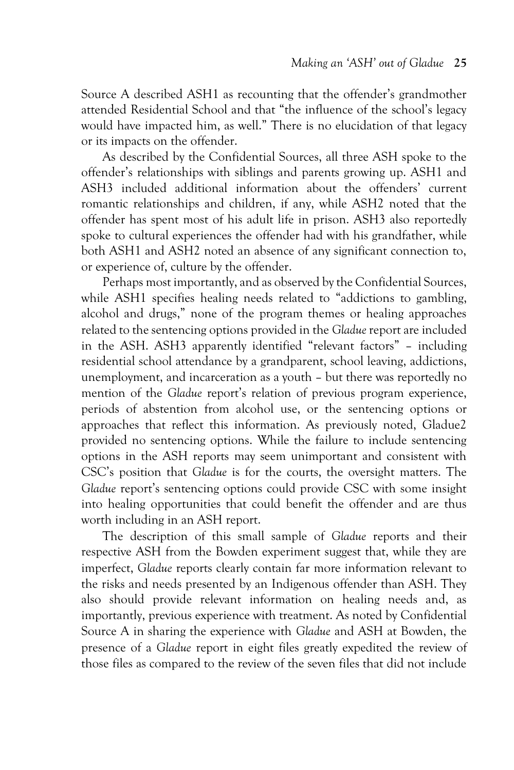Source A described ASH1 as recounting that the offender's grandmother attended Residential School and that "the influence of the school's legacy would have impacted him, as well." There is no elucidation of that legacy or its impacts on the offender.

As described by the Confidential Sources, all three ASH spoke to the offender's relationships with siblings and parents growing up. ASH1 and ASH3 included additional information about the offenders' current romantic relationships and children, if any, while ASH2 noted that the offender has spent most of his adult life in prison. ASH3 also reportedly spoke to cultural experiences the offender had with his grandfather, while both ASH1 and ASH2 noted an absence of any significant connection to, or experience of, culture by the offender.

Perhaps most importantly, and as observed by the Confidential Sources, while ASH1 specifies healing needs related to "addictions to gambling, alcohol and drugs," none of the program themes or healing approaches related to the sentencing options provided in the *Gladue* report are included in the ASH. ASH3 apparently identified "relevant factors" – including residential school attendance by a grandparent, school leaving, addictions, unemployment, and incarceration as a youth – but there was reportedly no mention of the *Gladue* report's relation of previous program experience, periods of abstention from alcohol use, or the sentencing options or approaches that reflect this information. As previously noted, Gladue2 provided no sentencing options. While the failure to include sentencing options in the ASH reports may seem unimportant and consistent with CSC's position that *Gladue* is for the courts, the oversight matters. The *Gladue* report's sentencing options could provide CSC with some insight into healing opportunities that could benefit the offender and are thus worth including in an ASH report.

The description of this small sample of *Gladue* reports and their respective ASH from the Bowden experiment suggest that, while they are imperfect, *Gladue* reports clearly contain far more information relevant to the risks and needs presented by an Indigenous offender than ASH. They also should provide relevant information on healing needs and, as importantly, previous experience with treatment. As noted by Confidential Source A in sharing the experience with *Gladue* and ASH at Bowden, the presence of a *Gladue* report in eight files greatly expedited the review of those files as compared to the review of the seven files that did not include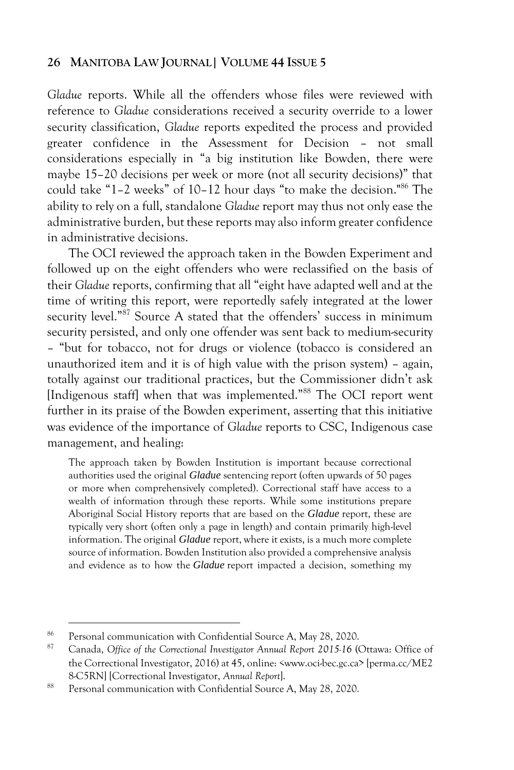*Gladue* reports. While all the offenders whose files were reviewed with reference to *Gladue* considerations received a security override to a lower security classification, *Gladue* reports expedited the process and provided greater confidence in the Assessment for Decision – not small considerations especially in "a big institution like Bowden, there were maybe 15–20 decisions per week or more (not all security decisions)" that could take "1–2 weeks" of 10–12 hour days "to make the decision."<sup>86</sup> The ability to rely on a full, standalone *Gladue* report may thus not only ease the administrative burden, but these reports may also inform greater confidence in administrative decisions.

The OCI reviewed the approach taken in the Bowden Experiment and followed up on the eight offenders who were reclassified on the basis of their *Gladue* reports, confirming that all "eight have adapted well and at the time of writing this report, were reportedly safely integrated at the lower security level."<sup>87</sup> Source A stated that the offenders' success in minimum security persisted, and only one offender was sent back to medium-security – "but for tobacco, not for drugs or violence (tobacco is considered an unauthorized item and it is of high value with the prison system) – again, totally against our traditional practices, but the Commissioner didn't ask [Indigenous staff] when that was implemented."88 The OCI report went further in its praise of the Bowden experiment, asserting that this initiative was evidence of the importance of *Gladue* reports to CSC, Indigenous case management, and healing:

The approach taken by Bowden Institution is important because correctional authorities used the original *Gladue* sentencing report (often upwards of 50 pages or more when comprehensively completed). Correctional staff have access to a wealth of information through these reports. While some institutions prepare Aboriginal Social History reports that are based on the *Gladue* report, these are typically very short (often only a page in length) and contain primarily high-level information. The original *Gladue* report, where it exists, is a much more complete source of information. Bowden Institution also provided a comprehensive analysis and evidence as to how the *Gladue* report impacted a decision, something my

<sup>&</sup>lt;sup>86</sup> Personal communication with Confidential Source A, May 28, 2020.

<sup>87</sup> Canada, *Office of the Correctional Investigator Annual Report 2015-16* (Ottawa: Office of the Correctional Investigator, 2016) at 45, online: *<*www.oci-bec.gc.ca> [perma.cc/ME2 8-C5RN] [Correctional Investigator, *Annual Report*].

<sup>88</sup> Personal communication with Confidential Source A, May 28, 2020.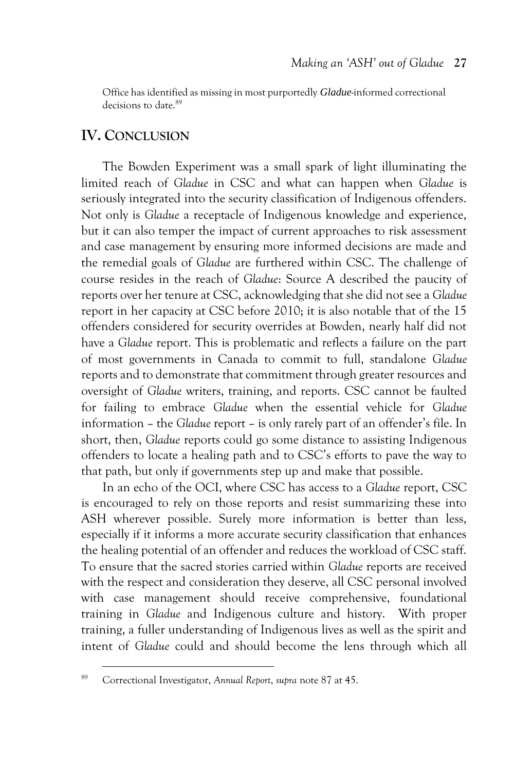Office has identified as missing in most purportedly *Gladue*-informed correctional decisions to date <sup>89</sup>

# **IV. CONCLUSION**

The Bowden Experiment was a small spark of light illuminating the limited reach of *Gladue* in CSC and what can happen when *Gladue* is seriously integrated into the security classification of Indigenous offenders. Not only is *Gladue* a receptacle of Indigenous knowledge and experience, but it can also temper the impact of current approaches to risk assessment and case management by ensuring more informed decisions are made and the remedial goals of *Gladue* are furthered within CSC. The challenge of course resides in the reach of *Gladue*: Source A described the paucity of reports over her tenure at CSC, acknowledging that she did not see a *Gladue*  report in her capacity at CSC before 2010; it is also notable that of the 15 offenders considered for security overrides at Bowden, nearly half did not have a *Gladue* report. This is problematic and reflects a failure on the part of most governments in Canada to commit to full, standalone *Gladue* reports and to demonstrate that commitment through greater resources and oversight of *Gladue* writers, training, and reports. CSC cannot be faulted for failing to embrace *Gladue* when the essential vehicle for *Gladue* information – the *Gladue* report – is only rarely part of an offender's file. In short, then, *Gladue* reports could go some distance to assisting Indigenous offenders to locate a healing path and to CSC's efforts to pave the way to that path, but only if governments step up and make that possible.

In an echo of the OCI, where CSC has access to a *Gladue* report, CSC is encouraged to rely on those reports and resist summarizing these into ASH wherever possible. Surely more information is better than less, especially if it informs a more accurate security classification that enhances the healing potential of an offender and reduces the workload of CSC staff. To ensure that the sacred stories carried within *Gladue* reports are received with the respect and consideration they deserve, all CSC personal involved with case management should receive comprehensive, foundational training in *Gladue* and Indigenous culture and history. With proper training, a fuller understanding of Indigenous lives as well as the spirit and intent of *Gladue* could and should become the lens through which all

<sup>89</sup> Correctional Investigator, *Annual Report*, *supra* note 87 at 45.